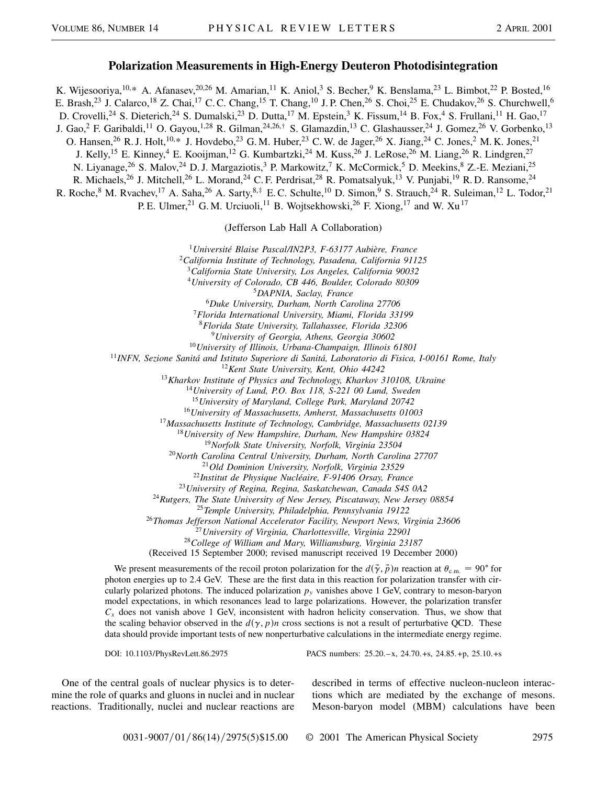## **Polarization Measurements in High-Energy Deuteron Photodisintegration**

K. Wijesooriya, <sup>10,\*</sup> A. Afanasev, <sup>20,26</sup> M. Amarian, <sup>11</sup> K. Aniol, <sup>3</sup> S. Becher, <sup>9</sup> K. Benslama, <sup>23</sup> L. Bimbot, <sup>22</sup> P. Bosted, <sup>16</sup> E. Brash,<sup>23</sup> J. Calarco,<sup>18</sup> Z. Chai,<sup>17</sup> C. C. Chang,<sup>15</sup> T. Chang,<sup>10</sup> J. P. Chen,<sup>26</sup> S. Choi,<sup>25</sup> E. Chudakov,<sup>26</sup> S. Churchwell,<sup>6</sup> D. Crovelli,<sup>24</sup> S. Dieterich,<sup>24</sup> S. Dumalski,<sup>23</sup> D. Dutta,<sup>17</sup> M. Epstein,<sup>3</sup> K. Fissum,<sup>14</sup> B. Fox,<sup>4</sup> S. Frullani,<sup>11</sup> H. Gao,<sup>17</sup> J. Gao,<sup>2</sup> F. Garibaldi,<sup>11</sup> O. Gayou,<sup>1,28</sup> R. Gilman,<sup>24,26,†</sup> S. Glamazdin,<sup>13</sup> C. Glashausser,<sup>24</sup> J. Gomez,<sup>26</sup> V. Gorbenko,<sup>13</sup> O. Hansen,<sup>26</sup> R. J. Holt,<sup>10,\*</sup> J. Hovdebo,<sup>23</sup> G. M. Huber,<sup>23</sup> C. W. de Jager,<sup>26</sup> X. Jiang,<sup>24</sup> C. Jones,<sup>2</sup> M. K. Jones,<sup>21</sup> J. Kelly,<sup>15</sup> E. Kinney,<sup>4</sup> E. Kooijman,<sup>12</sup> G. Kumbartzki,<sup>24</sup> M. Kuss,<sup>26</sup> J. LeRose,<sup>26</sup> M. Liang,<sup>26</sup> R. Lindgren,<sup>27</sup> N. Liyanage,<sup>26</sup> S. Malov,<sup>24</sup> D. J. Margaziotis,<sup>3</sup> P. Markowitz,<sup>7</sup> K. McCormick,<sup>5</sup> D. Meekins,<sup>8</sup> Z.-E. Meziani,<sup>25</sup> R. Michaels,<sup>26</sup> J. Mitchell,<sup>26</sup> L. Morand,<sup>24</sup> C. F. Perdrisat,<sup>28</sup> R. Pomatsalyuk,<sup>13</sup> V. Punjabi,<sup>19</sup> R. D. Ransome,<sup>24</sup> R. Roche, <sup>8</sup> M. Rvachev, <sup>17</sup> A. Saha, <sup>26</sup> A. Sarty, <sup>8,‡</sup> E. C. Schulte, <sup>10</sup> D. Simon, <sup>9</sup> S. Strauch, <sup>24</sup> R. Suleiman, <sup>12</sup> L. Todor, <sup>21</sup>

P. E. Ulmer,<sup>21</sup> G. M. Urciuoli,<sup>11</sup> B. Wojtsekhowski,<sup>26</sup> F. Xiong,<sup>17</sup> and W. Xu<sup>17</sup>

(Jefferson Lab Hall A Collaboration)

<sup>1</sup>*Université Blaise Pascal/IN2P3, F-63177 Aubière, France*

*California Institute of Technology, Pasadena, California 91125 California State University, Los Angeles, California 90032 University of Colorado, CB 446, Boulder, Colorado 80309 DAPNIA, Saclay, France Duke University, Durham, North Carolina 27706 Florida International University, Miami, Florida 33199 Florida State University, Tallahassee, Florida 32306 University of Georgia, Athens, Georgia 30602 University of Illinois, Urbana-Champaign, Illinois 61801 INFN, Sezione Sanitá and Istituto Superiore di Sanitá, Laboratorio di Fisica, I-00161 Rome, Italy Kent State University, Kent, Ohio 44242 Kharkov Institute of Physics and Technology, Kharkov 310108, Ukraine University of Lund, P.O. Box 118, S-221 00 Lund, Sweden University of Maryland, College Park, Maryland 20742 University of Massachusetts, Amherst, Massachusetts 01003 Massachusetts Institute of Technology, Cambridge, Massachusetts 02139 University of New Hampshire, Durham, New Hampshire 03824 Norfolk State University, Norfolk, Virginia 23504 North Carolina Central University, Durham, North Carolina 27707*

<sup>21</sup>*Old Dominion University, Norfolk, Virginia 23529*

<sup>22</sup>*Institut de Physique Nucléaire, F-91406 Orsay, France*

<sup>23</sup>*University of Regina, Regina, Saskatchewan, Canada S4S 0A2*

<sup>24</sup>*Rutgers, The State University of New Jersey, Piscataway, New Jersey 08854*

<sup>25</sup>*Temple University, Philadelphia, Pennsylvania 19122*

<sup>26</sup>*Thomas Jefferson National Accelerator Facility, Newport News, Virginia 23606*

<sup>27</sup>*University of Virginia, Charlottesville, Virginia 22901*

<sup>28</sup>*College of William and Mary, Williamsburg, Virginia 23187*

(Received 15 September 2000; revised manuscript received 19 December 2000)

We present measurements of the recoil proton polarization for the  $d(\vec{\gamma}, \vec{p})n$  reaction at  $\theta_{\text{c.m.}} = 90^{\circ}$  for photon energies up to 2.4 GeV. These are the first data in this reaction for polarization transfer with circularly polarized photons. The induced polarization  $p_y$  vanishes above 1 GeV, contrary to meson-baryon model expectations, in which resonances lead to large polarizations. However, the polarization transfer *Cx* does not vanish above 1 GeV, inconsistent with hadron helicity conservation. Thus, we show that the scaling behavior observed in the  $d(\gamma, p)n$  cross sections is not a result of perturbative QCD. These data should provide important tests of new nonperturbative calculations in the intermediate energy regime.

DOI: 10.1103/PhysRevLett.86.2975 PACS numbers: 25.20.–x, 24.70.+s, 24.85.+p, 25.10.+s

One of the central goals of nuclear physics is to determine the role of quarks and gluons in nuclei and in nuclear reactions. Traditionally, nuclei and nuclear reactions are described in terms of effective nucleon-nucleon interactions which are mediated by the exchange of mesons. Meson-baryon model (MBM) calculations have been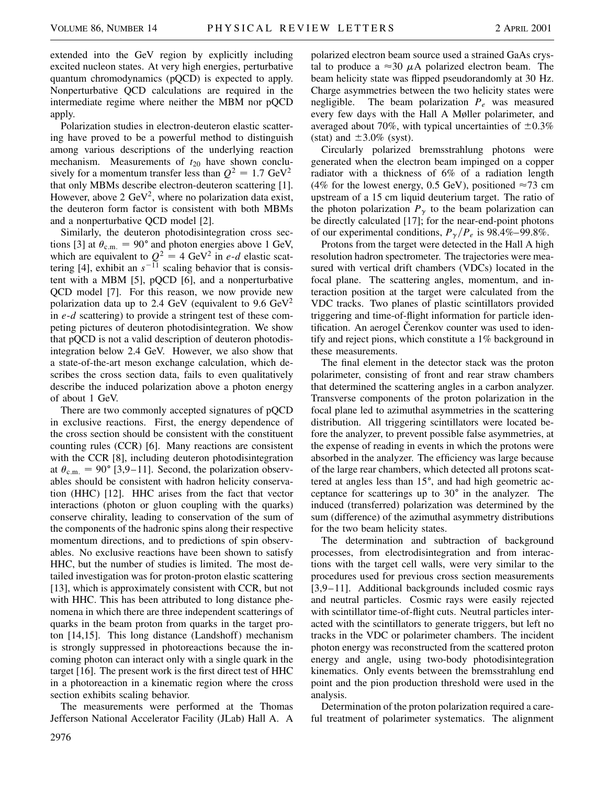extended into the GeV region by explicitly including excited nucleon states. At very high energies, perturbative quantum chromodynamics (pQCD) is expected to apply. Nonperturbative QCD calculations are required in the intermediate regime where neither the MBM nor pQCD apply.

Polarization studies in electron-deuteron elastic scattering have proved to be a powerful method to distinguish among various descriptions of the underlying reaction mechanism. Measurements of  $t_{20}$  have shown conclusively for a momentum transfer less than  $Q^2 = 1.7 \text{ GeV}^2$ that only MBMs describe electron-deuteron scattering [1]. However, above 2 GeV<sup>2</sup>, where no polarization data exist, the deuteron form factor is consistent with both MBMs and a nonperturbative QCD model [2].

Similarly, the deuteron photodisintegration cross sections [3] at  $\theta_{\rm c.m.} = 90^{\circ}$  and photon energies above 1 GeV, which are equivalent to  $Q^2 = 4 \text{ GeV}^2$  in *e-d* elastic scattering [4], exhibit an  $s^{-11}$  scaling behavior that is consistent with a MBM [5], pQCD [6], and a nonperturbative QCD model [7]. For this reason, we now provide new polarization data up to 2.4 GeV (equivalent to 9.6 GeV<sup>2</sup> in *e*-*d* scattering) to provide a stringent test of these competing pictures of deuteron photodisintegration. We show that pQCD is not a valid description of deuteron photodisintegration below 2.4 GeV. However, we also show that a state-of-the-art meson exchange calculation, which describes the cross section data, fails to even qualitatively describe the induced polarization above a photon energy of about 1 GeV.

There are two commonly accepted signatures of pQCD in exclusive reactions. First, the energy dependence of the cross section should be consistent with the constituent counting rules (CCR) [6]. Many reactions are consistent with the CCR [8], including deuteron photodisintegration at  $\theta_{\rm c.m.} = 90^{\circ}$  [3,9–11]. Second, the polarization observables should be consistent with hadron helicity conservation (HHC) [12]. HHC arises from the fact that vector interactions (photon or gluon coupling with the quarks) conserve chirality, leading to conservation of the sum of the components of the hadronic spins along their respective momentum directions, and to predictions of spin observables. No exclusive reactions have been shown to satisfy HHC, but the number of studies is limited. The most detailed investigation was for proton-proton elastic scattering [13], which is approximately consistent with CCR, but not with HHC. This has been attributed to long distance phenomena in which there are three independent scatterings of quarks in the beam proton from quarks in the target proton [14,15]. This long distance (Landshoff) mechanism is strongly suppressed in photoreactions because the incoming photon can interact only with a single quark in the target [16]. The present work is the first direct test of HHC in a photoreaction in a kinematic region where the cross section exhibits scaling behavior.

The measurements were performed at the Thomas Jefferson National Accelerator Facility (JLab) Hall A. A polarized electron beam source used a strained GaAs crystal to produce a  $\approx 30 \mu$ A polarized electron beam. The beam helicity state was flipped pseudorandomly at 30 Hz. Charge asymmetries between the two helicity states were negligible. The beam polarization  $P_e$  was measured every few days with the Hall A Møller polarimeter, and averaged about 70%, with typical uncertainties of  $\pm 0.3\%$ (stat) and  $\pm 3.0\%$  (syst).

Circularly polarized bremsstrahlung photons were generated when the electron beam impinged on a copper radiator with a thickness of 6% of a radiation length (4% for the lowest energy, 0.5 GeV), positioned  $\approx$ 73 cm upstream of a 15 cm liquid deuterium target. The ratio of the photon polarization  $P_{\gamma}$  to the beam polarization can be directly calculated [17]; for the near-end-point photons of our experimental conditions,  $P_{\gamma}/P_e$  is 98.4%–99.8%.

Protons from the target were detected in the Hall A high resolution hadron spectrometer. The trajectories were measured with vertical drift chambers (VDCs) located in the focal plane. The scattering angles, momentum, and interaction position at the target were calculated from the VDC tracks. Two planes of plastic scintillators provided triggering and time-of-flight information for particle identification. An aerogel Cerenkov counter was used to identify and reject pions, which constitute a 1% background in these measurements.

The final element in the detector stack was the proton polarimeter, consisting of front and rear straw chambers that determined the scattering angles in a carbon analyzer. Transverse components of the proton polarization in the focal plane led to azimuthal asymmetries in the scattering distribution. All triggering scintillators were located before the analyzer, to prevent possible false asymmetries, at the expense of reading in events in which the protons were absorbed in the analyzer. The efficiency was large because of the large rear chambers, which detected all protons scattered at angles less than  $15^{\circ}$ , and had high geometric acceptance for scatterings up to  $30^{\circ}$  in the analyzer. The induced (transferred) polarization was determined by the sum (difference) of the azimuthal asymmetry distributions for the two beam helicity states.

The determination and subtraction of background processes, from electrodisintegration and from interactions with the target cell walls, were very similar to the procedures used for previous cross section measurements [3,9–11]. Additional backgrounds included cosmic rays and neutral particles. Cosmic rays were easily rejected with scintillator time-of-flight cuts. Neutral particles interacted with the scintillators to generate triggers, but left no tracks in the VDC or polarimeter chambers. The incident photon energy was reconstructed from the scattered proton energy and angle, using two-body photodisintegration kinematics. Only events between the bremsstrahlung end point and the pion production threshold were used in the analysis.

Determination of the proton polarization required a careful treatment of polarimeter systematics. The alignment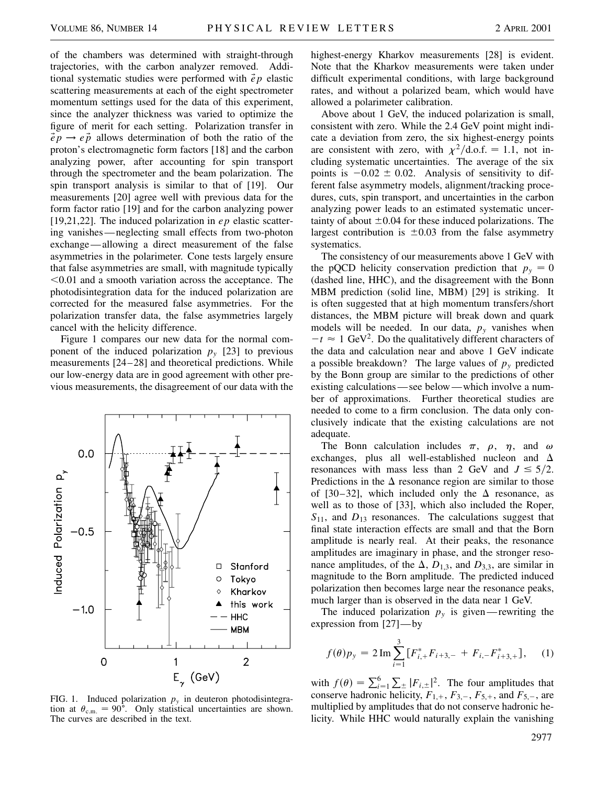of the chambers was determined with straight-through trajectories, with the carbon analyzer removed. Additional systematic studies were performed with *ep* elastic scattering measurements at each of the eight spectrometer momentum settings used for the data of this experiment, since the analyzer thickness was varied to optimize the figure of merit for each setting. Polarization transfer in  $\vec{e}p \rightarrow e\vec{p}$  allows determination of both the ratio of the proton's electromagnetic form factors [18] and the carbon analyzing power, after accounting for spin transport through the spectrometer and the beam polarization. The spin transport analysis is similar to that of [19]. Our measurements [20] agree well with previous data for the form factor ratio [19] and for the carbon analyzing power [19,21,22]. The induced polarization in *ep* elastic scattering vanishes—neglecting small effects from two-photon exchange—allowing a direct measurement of the false asymmetries in the polarimeter. Cone tests largely ensure that false asymmetries are small, with magnitude typically  $< 0.01$  and a smooth variation across the acceptance. The photodisintegration data for the induced polarization are corrected for the measured false asymmetries. For the polarization transfer data, the false asymmetries largely cancel with the helicity difference.

Figure 1 compares our new data for the normal component of the induced polarization  $p_y$  [23] to previous measurements [24–28] and theoretical predictions. While our low-energy data are in good agreement with other previous measurements, the disagreement of our data with the



FIG. 1. Induced polarization  $p_y$  in deuteron photodisintegration at  $\theta_{\rm c.m.} = 90^{\circ}$ . Only statistical uncertainties are shown. The curves are described in the text.

highest-energy Kharkov measurements [28] is evident. Note that the Kharkov measurements were taken under difficult experimental conditions, with large background rates, and without a polarized beam, which would have allowed a polarimeter calibration.

Above about 1 GeV, the induced polarization is small, consistent with zero. While the 2.4 GeV point might indicate a deviation from zero, the six highest-energy points are consistent with zero, with  $\chi^2/\text{d.o.f.} = 1.1$ , not including systematic uncertainties. The average of the six points is  $-0.02 \pm 0.02$ . Analysis of sensitivity to different false asymmetry models, alignment/tracking procedures, cuts, spin transport, and uncertainties in the carbon analyzing power leads to an estimated systematic uncertainty of about  $\pm 0.04$  for these induced polarizations. The largest contribution is  $\pm 0.03$  from the false asymmetry systematics.

The consistency of our measurements above 1 GeV with the pQCD helicity conservation prediction that  $p_y = 0$ (dashed line, HHC), and the disagreement with the Bonn MBM prediction (solid line, MBM) [29] is striking. It is often suggested that at high momentum transfers/short distances, the MBM picture will break down and quark models will be needed. In our data,  $p_y$  vanishes when  $-t \approx 1$  GeV<sup>2</sup>. Do the qualitatively different characters of the data and calculation near and above 1 GeV indicate a possible breakdown? The large values of  $p_y$  predicted by the Bonn group are similar to the predictions of other existing calculations—see below—which involve a number of approximations. Further theoretical studies are needed to come to a firm conclusion. The data only conclusively indicate that the existing calculations are not adequate.

The Bonn calculation includes  $\pi$ ,  $\rho$ ,  $\eta$ , and  $\omega$ exchanges, plus all well-established nucleon and  $\Delta$ resonances with mass less than 2 GeV and  $J \leq 5/2$ . Predictions in the  $\Delta$  resonance region are similar to those of [30–32], which included only the  $\Delta$  resonance, as well as to those of [33], which also included the Roper, *S*11, and *D*<sup>13</sup> resonances. The calculations suggest that final state interaction effects are small and that the Born amplitude is nearly real. At their peaks, the resonance amplitudes are imaginary in phase, and the stronger resonance amplitudes, of the  $\Delta$ ,  $D_{1,3}$ , and  $D_{3,3}$ , are similar in magnitude to the Born amplitude. The predicted induced polarization then becomes large near the resonance peaks, much larger than is observed in the data near 1 GeV.

The induced polarization  $p_y$  is given—rewriting the expression from [27]—by

$$
f(\theta)p_{y} = 2 \operatorname{Im} \sum_{i=1}^{3} \left[ F_{i,+}^{*} F_{i+3,-} + F_{i,-} F_{i+3,+}^{*} \right], \quad (1)
$$

with  $f(\theta) = \sum_{i=1}^{6}$  $\sum_{\pm} |F_{i,\pm}|^2$ . The four amplitudes that conserve hadronic helicity,  $F_{1,+}$ ,  $F_{3,-}$ ,  $F_{5,+}$ , and  $F_{5,-}$ , are multiplied by amplitudes that do not conserve hadronic helicity. While HHC would naturally explain the vanishing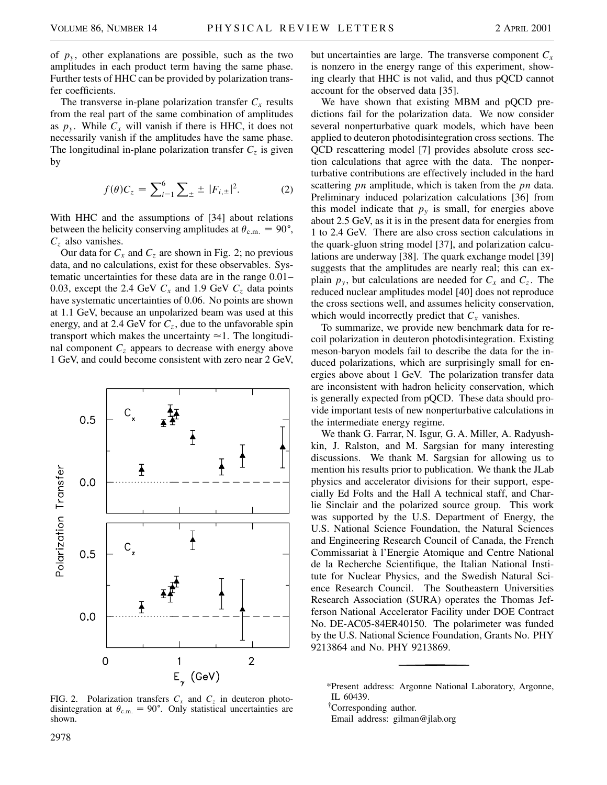of  $p_y$ , other explanations are possible, such as the two amplitudes in each product term having the same phase. Further tests of HHC can be provided by polarization transfer coefficients.

The transverse in-plane polarization transfer  $C_x$  results from the real part of the same combination of amplitudes as  $p_y$ . While  $C_x$  will vanish if there is HHC, it does not necessarily vanish if the amplitudes have the same phase. The longitudinal in-plane polarization transfer  $C_z$  is given by

$$
f(\theta)C_z = \sum_{i=1}^{6} \sum_{\pm} \pm |F_{i,\pm}|^2. \tag{2}
$$

With HHC and the assumptions of [34] about relations between the helicity conserving amplitudes at  $\theta_{\rm c.m.} = 90^{\circ}$ , *Cz* also vanishes.

Our data for  $C_x$  and  $C_z$  are shown in Fig. 2; no previous data, and no calculations, exist for these observables. Systematic uncertainties for these data are in the range 0.01– 0.03, except the 2.4 GeV  $C_x$  and 1.9 GeV  $C_z$  data points have systematic uncertainties of 0.06. No points are shown at 1.1 GeV, because an unpolarized beam was used at this energy, and at 2.4 GeV for  $C_z$ , due to the unfavorable spin transport which makes the uncertainty  $\approx$  1. The longitudinal component  $C_z$  appears to decrease with energy above 1 GeV, and could become consistent with zero near 2 GeV,



FIG. 2. Polarization transfers  $C_x$  and  $C_z$  in deuteron photodisintegration at  $\theta_{\rm c.m.} = 90^{\circ}$ . Only statistical uncertainties are shown.

but uncertainties are large. The transverse component  $C_x$ is nonzero in the energy range of this experiment, showing clearly that HHC is not valid, and thus pQCD cannot account for the observed data [35].

We have shown that existing MBM and pQCD predictions fail for the polarization data. We now consider several nonperturbative quark models, which have been applied to deuteron photodisintegration cross sections. The QCD rescattering model [7] provides absolute cross section calculations that agree with the data. The nonperturbative contributions are effectively included in the hard scattering *pn* amplitude, which is taken from the *pn* data. Preliminary induced polarization calculations [36] from this model indicate that  $p_y$  is small, for energies above about 2.5 GeV, as it is in the present data for energies from 1 to 2.4 GeV. There are also cross section calculations in the quark-gluon string model [37], and polarization calculations are underway [38]. The quark exchange model [39] suggests that the amplitudes are nearly real; this can explain  $p_{v}$ , but calculations are needed for  $C_{x}$  and  $C_{z}$ . The reduced nuclear amplitudes model [40] does not reproduce the cross sections well, and assumes helicity conservation, which would incorrectly predict that  $C_x$  vanishes.

To summarize, we provide new benchmark data for recoil polarization in deuteron photodisintegration. Existing meson-baryon models fail to describe the data for the induced polarizations, which are surprisingly small for energies above about 1 GeV. The polarization transfer data are inconsistent with hadron helicity conservation, which is generally expected from pQCD. These data should provide important tests of new nonperturbative calculations in the intermediate energy regime.

We thank G. Farrar, N. Isgur, G. A. Miller, A. Radyushkin, J. Ralston, and M. Sargsian for many interesting discussions. We thank M. Sargsian for allowing us to mention his results prior to publication. We thank the JLab physics and accelerator divisions for their support, especially Ed Folts and the Hall A technical staff, and Charlie Sinclair and the polarized source group. This work was supported by the U.S. Department of Energy, the U.S. National Science Foundation, the Natural Sciences and Engineering Research Council of Canada, the French Commissariat à l'Energie Atomique and Centre National de la Recherche Scientifique, the Italian National Institute for Nuclear Physics, and the Swedish Natural Science Research Council. The Southeastern Universities Research Association (SURA) operates the Thomas Jefferson National Accelerator Facility under DOE Contract No. DE-AC05-84ER40150. The polarimeter was funded by the U.S. National Science Foundation, Grants No. PHY 9213864 and No. PHY 9213869.

Email address: gilman@jlab.org

<sup>\*</sup>Present address: Argonne National Laboratory, Argonne, IL 60439.

<sup>†</sup> Corresponding author.